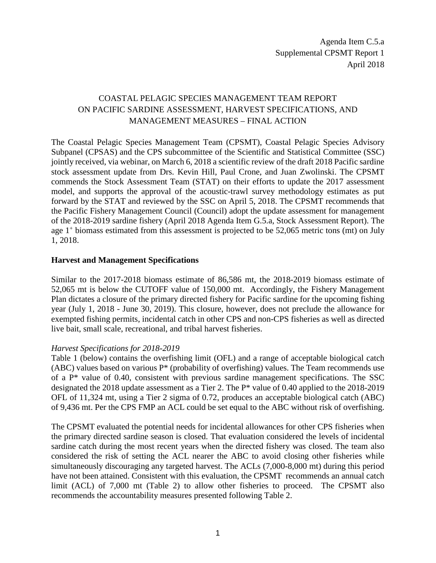## COASTAL PELAGIC SPECIES MANAGEMENT TEAM REPORT ON PACIFIC SARDINE ASSESSMENT, HARVEST SPECIFICATIONS, AND MANAGEMENT MEASURES – FINAL ACTION

The Coastal Pelagic Species Management Team (CPSMT), Coastal Pelagic Species Advisory Subpanel (CPSAS) and the CPS subcommittee of the Scientific and Statistical Committee (SSC) jointly received, via webinar, on March 6, 2018 a scientific review of the draft 2018 Pacific sardine stock assessment update from Drs. Kevin Hill, Paul Crone, and Juan Zwolinski. The CPSMT commends the Stock Assessment Team (STAT) on their efforts to update the 2017 assessment model, and supports the approval of the acoustic-trawl survey methodology estimates as put forward by the STAT and reviewed by the SSC on April 5, 2018. The CPSMT recommends that the Pacific Fishery Management Council (Council) adopt the update assessment for management of the 2018-2019 sardine fishery (April 2018 Agenda Item G.5.a, Stock Assessment Report). The age  $1^+$  biomass estimated from this assessment is projected to be 52,065 metric tons (mt) on July 1, 2018.

## **Harvest and Management Specifications**

Similar to the 2017-2018 biomass estimate of 86,586 mt, the 2018-2019 biomass estimate of 52,065 mt is below the CUTOFF value of 150,000 mt. Accordingly, the Fishery Management Plan dictates a closure of the primary directed fishery for Pacific sardine for the upcoming fishing year (July 1, 2018 - June 30, 2019). This closure, however, does not preclude the allowance for exempted fishing permits, incidental catch in other CPS and non-CPS fisheries as well as directed live bait, small scale, recreational, and tribal harvest fisheries.

## *Harvest Specifications for 2018-2019*

Table 1 (below) contains the overfishing limit (OFL) and a range of acceptable biological catch (ABC) values based on various  $P^*$  (probability of overfishing) values. The Team recommends use of a P\* value of 0.40, consistent with previous sardine management specifications. The SSC designated the 2018 update assessment as a Tier 2. The P\* value of 0.40 applied to the 2018-2019 OFL of 11,324 mt, using a Tier 2 sigma of 0.72, produces an acceptable biological catch (ABC) of 9,436 mt. Per the CPS FMP an ACL could be set equal to the ABC without risk of overfishing.

The CPSMT evaluated the potential needs for incidental allowances for other CPS fisheries when the primary directed sardine season is closed. That evaluation considered the levels of incidental sardine catch during the most recent years when the directed fishery was closed. The team also considered the risk of setting the ACL nearer the ABC to avoid closing other fisheries while simultaneously discouraging any targeted harvest. The ACLs (7,000-8,000 mt) during this period have not been attained. Consistent with this evaluation, the CPSMT recommends an annual catch limit (ACL) of 7,000 mt (Table 2) to allow other fisheries to proceed. The CPSMT also recommends the accountability measures presented following Table 2.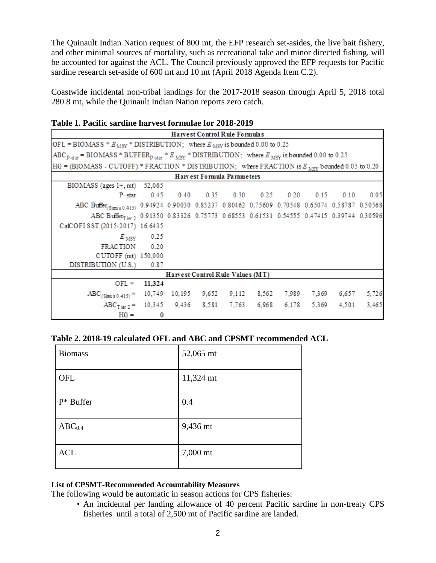The Quinault Indian Nation request of 800 mt, the EFP research set-asides, the live bait fishery, and other minimal sources of mortality, such as recreational take and minor directed fishing, will be accounted for against the ACL. The Council previously approved the EFP requests for Pacific sardine research set-aside of 600 mt and 10 mt (April 2018 Agenda Item C.2).

Coastwide incidental non-tribal landings for the 2017-2018 season through April 5, 2018 total 280.8 mt, while the Quinault Indian Nation reports zero catch.

|  | Table 1. Pacific sardine harvest formulae for 2018-2019 |
|--|---------------------------------------------------------|
|--|---------------------------------------------------------|

| Harvest Control Rule Formulas                                                                                                 |                       |  |                            |  |  |  |                                                     |       |
|-------------------------------------------------------------------------------------------------------------------------------|-----------------------|--|----------------------------|--|--|--|-----------------------------------------------------|-------|
| OFL = BIOMASS * $E_{\text{MSY}}$ * DISTRIBUTION; where $E_{\text{MSY}}$ is bounded 0.00 to 0.25                               |                       |  |                            |  |  |  |                                                     |       |
| $ABC_{D\text{-}stat}$ = BIOMASS * BUFFER <sub>patar</sub> * $E_{MSV}$ * DISTRIBUTION; where $E_{MSV}$ is bounded 0.00 to 0.25 |                       |  |                            |  |  |  |                                                     |       |
| HG = (BIOMASS - CUTOFF) * FRACTION * DISTRIBUTION; where FRACTION is $E_{MSS}$ bounded 0.05 to 0.20                           |                       |  |                            |  |  |  |                                                     |       |
|                                                                                                                               |                       |  | Harvest Formula Parameters |  |  |  |                                                     |       |
| $B IOMASS$ (ages $1+, mt$ ) 52,065                                                                                            |                       |  |                            |  |  |  |                                                     |       |
|                                                                                                                               |                       |  |                            |  |  |  | P-star 0.45 0.40 0.35 0.30 0.25 0.20 0.15 0.10 0.05 |       |
| ABC Buffer <sub>(Simma 0.415)</sub> 0.94924 0.90030 0.85237 0.80462 0.75609 0.70548 0.65074 0.58787 0.50568                   |                       |  |                            |  |  |  |                                                     |       |
| ABC Buffer <sub>Tier</sub> , 0.91350 0.83326 0.75773 0.68553 0.61531 0.54555 0.47415 0.39744 0.30596                          |                       |  |                            |  |  |  |                                                     |       |
| CalCOFISST (2015-2017) 16.6435                                                                                                |                       |  |                            |  |  |  |                                                     |       |
|                                                                                                                               | $E_{\text{MSY}}$ 0.25 |  |                            |  |  |  |                                                     |       |
| FRACTION 0.20                                                                                                                 |                       |  |                            |  |  |  |                                                     |       |
| CUTOFF (mt) 150,000                                                                                                           |                       |  |                            |  |  |  |                                                     |       |
| DISTRIBUTION (U.S.) 0.87                                                                                                      |                       |  |                            |  |  |  |                                                     |       |
| Harvest Control Rule Values (MT)                                                                                              |                       |  |                            |  |  |  |                                                     |       |
|                                                                                                                               | $OFL = 11,324$        |  |                            |  |  |  |                                                     |       |
| ABC <sub>(Sizma 0.415)</sub> = 10,749 10,195 9,652 9,112 8,562 7,989 7,369 6,657 5,726                                        |                       |  |                            |  |  |  |                                                     |       |
| $ABC_{Tier,2} = 10,345$ 9,436 8,581 7,763 6,968 6,178 5,369 4,501                                                             |                       |  |                            |  |  |  |                                                     | 3,465 |
| $HG =$                                                                                                                        | $\bf{0}$              |  |                            |  |  |  |                                                     |       |

|  |  | Table 2. 2018-19 calculated OFL and ABC and CPSMT recommended ACL |
|--|--|-------------------------------------------------------------------|
|--|--|-------------------------------------------------------------------|

| <b>Biomass</b>     | 52,065 mt |
|--------------------|-----------|
| OFL                | 11,324 mt |
| $P^*$ Buffer       | 0.4       |
| ABC <sub>0.4</sub> | 9,436 mt  |
| <b>ACL</b>         | 7,000 mt  |

## **List of CPSMT-Recommended Accountability Measures**

The following would be automatic in season actions for CPS fisheries:

• An incidental per landing allowance of 40 percent Pacific sardine in non-treaty CPS fisheries until a total of 2,500 mt of Pacific sardine are landed.